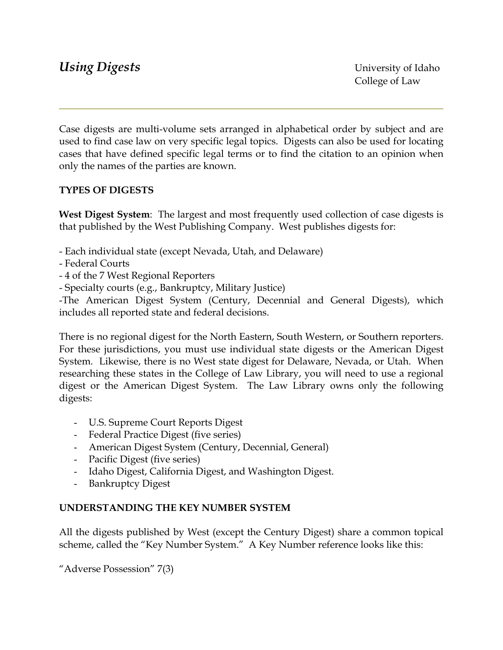Case digests are multi-volume sets arranged in alphabetical order by subject and are used to find case law on very specific legal topics. Digests can also be used for locating cases that have defined specific legal terms or to find the citation to an opinion when only the names of the parties are known.

# **TYPES OF DIGESTS**

**West Digest System**: The largest and most frequently used collection of case digests is that published by the West Publishing Company. West publishes digests for:

- Each individual state (except Nevada, Utah, and Delaware)
- Federal Courts
- 4 of the 7 West Regional Reporters
- Specialty courts (e.g., Bankruptcy, Military Justice)

-The American Digest System (Century, Decennial and General Digests), which includes all reported state and federal decisions.

There is no regional digest for the North Eastern, South Western, or Southern reporters. For these jurisdictions, you must use individual state digests or the American Digest System. Likewise, there is no West state digest for Delaware, Nevada, or Utah. When researching these states in the College of Law Library, you will need to use a regional digest or the American Digest System. The Law Library owns only the following digests:

- U.S. Supreme Court Reports Digest
- Federal Practice Digest (five series)
- American Digest System (Century, Decennial, General)
- Pacific Digest (five series)
- Idaho Digest, California Digest, and Washington Digest.
- Bankruptcy Digest

## **UNDERSTANDING THE KEY NUMBER SYSTEM**

All the digests published by West (except the Century Digest) share a common topical scheme, called the "Key Number System." A Key Number reference looks like this:

"Adverse Possession" 7(3)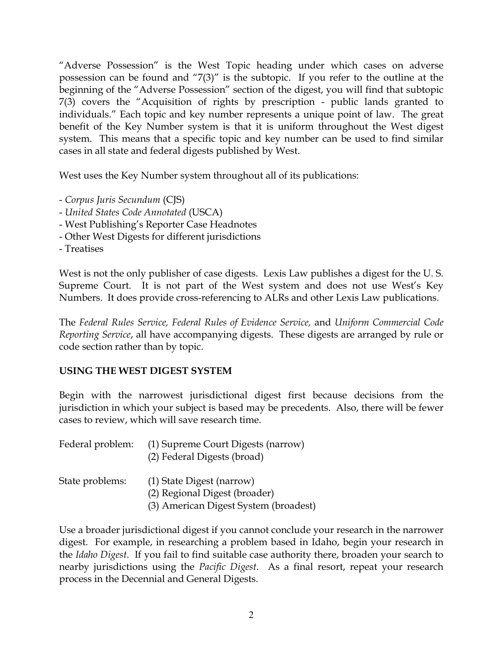"Adverse Possession" is the West Topic heading under which cases on adverse possession can be found and "7(3)" is the subtopic. If you refer to the outline at the beginning of the "Adverse Possession" section of the digest, you will find that subtopic 7(3) covers the "Acquisition of rights by prescription - public lands granted to individuals." Each topic and key number represents a unique point of law. The great benefit of the Key Number system is that it is uniform throughout the West digest system. This means that a specific topic and key number can be used to find similar cases in all state and federal digests published by West.

West uses the Key Number system throughout all of its publications:

- *Corpus Juris Secundum* (CJS)
- *United States Code Annotated* (USCA)
- West Publishing's Reporter Case Headnotes
- Other West Digests for different jurisdictions
- Treatises

West is not the only publisher of case digests. Lexis Law publishes a digest for the U. S. Supreme Court. It is not part of the West system and does not use West's Key Numbers. It does provide cross-referencing to ALRs and other Lexis Law publications.

The *Federal Rules Service, Federal Rules of Evidence Service,* and *Uniform Commercial Code Reporting Service*, all have accompanying digests. These digests are arranged by rule or code section rather than by topic.

## **USING THE WEST DIGEST SYSTEM**

Begin with the narrowest jurisdictional digest first because decisions from the jurisdiction in which your subject is based may be precedents. Also, there will be fewer cases to review, which will save research time.

| Federal problem: (1) Supreme Court Digests (narrow) |
|-----------------------------------------------------|
| (2) Federal Digests (broad)                         |

State problems: (1) State Digest (narrow) (2) Regional Digest (broader) (3) American Digest System (broadest)

Use a broader jurisdictional digest if you cannot conclude your research in the narrower digest. For example, in researching a problem based in Idaho, begin your research in the *Idaho Digest*. If you fail to find suitable case authority there, broaden your search to nearby jurisdictions using the *Pacific Digest*. As a final resort, repeat your research process in the Decennial and General Digests.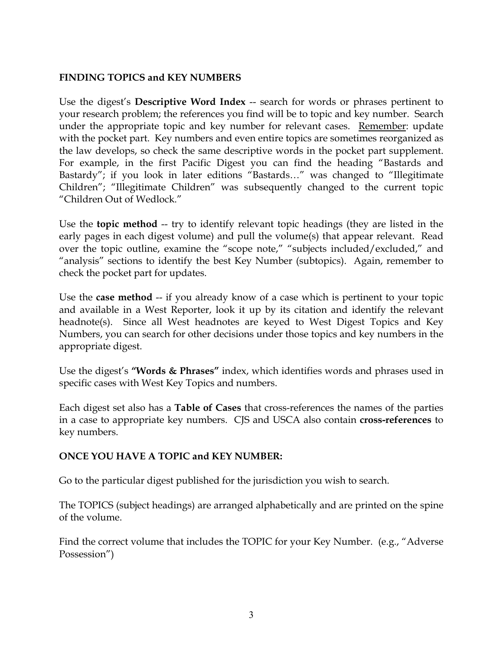## **FINDING TOPICS and KEY NUMBERS**

Use the digest's **Descriptive Word Index** -- search for words or phrases pertinent to your research problem; the references you find will be to topic and key number. Search under the appropriate topic and key number for relevant cases. Remember: update with the pocket part. Key numbers and even entire topics are sometimes reorganized as the law develops, so check the same descriptive words in the pocket part supplement. For example, in the first Pacific Digest you can find the heading "Bastards and Bastardy"; if you look in later editions "Bastards…" was changed to "Illegitimate Children"; "Illegitimate Children" was subsequently changed to the current topic "Children Out of Wedlock."

Use the **topic method** -- try to identify relevant topic headings (they are listed in the early pages in each digest volume) and pull the volume(s) that appear relevant. Read over the topic outline, examine the "scope note," "subjects included/excluded," and "analysis" sections to identify the best Key Number (subtopics). Again, remember to check the pocket part for updates.

Use the **case method** -- if you already know of a case which is pertinent to your topic and available in a West Reporter, look it up by its citation and identify the relevant headnote(s). Since all West headnotes are keyed to West Digest Topics and Key Numbers, you can search for other decisions under those topics and key numbers in the appropriate digest.

Use the digest's **"Words & Phrases"** index, which identifies words and phrases used in specific cases with West Key Topics and numbers.

Each digest set also has a **Table of Cases** that cross-references the names of the parties in a case to appropriate key numbers. CJS and USCA also contain **cross-references** to key numbers.

## **ONCE YOU HAVE A TOPIC and KEY NUMBER:**

Go to the particular digest published for the jurisdiction you wish to search.

The TOPICS (subject headings) are arranged alphabetically and are printed on the spine of the volume.

Find the correct volume that includes the TOPIC for your Key Number. (e.g., "Adverse Possession")